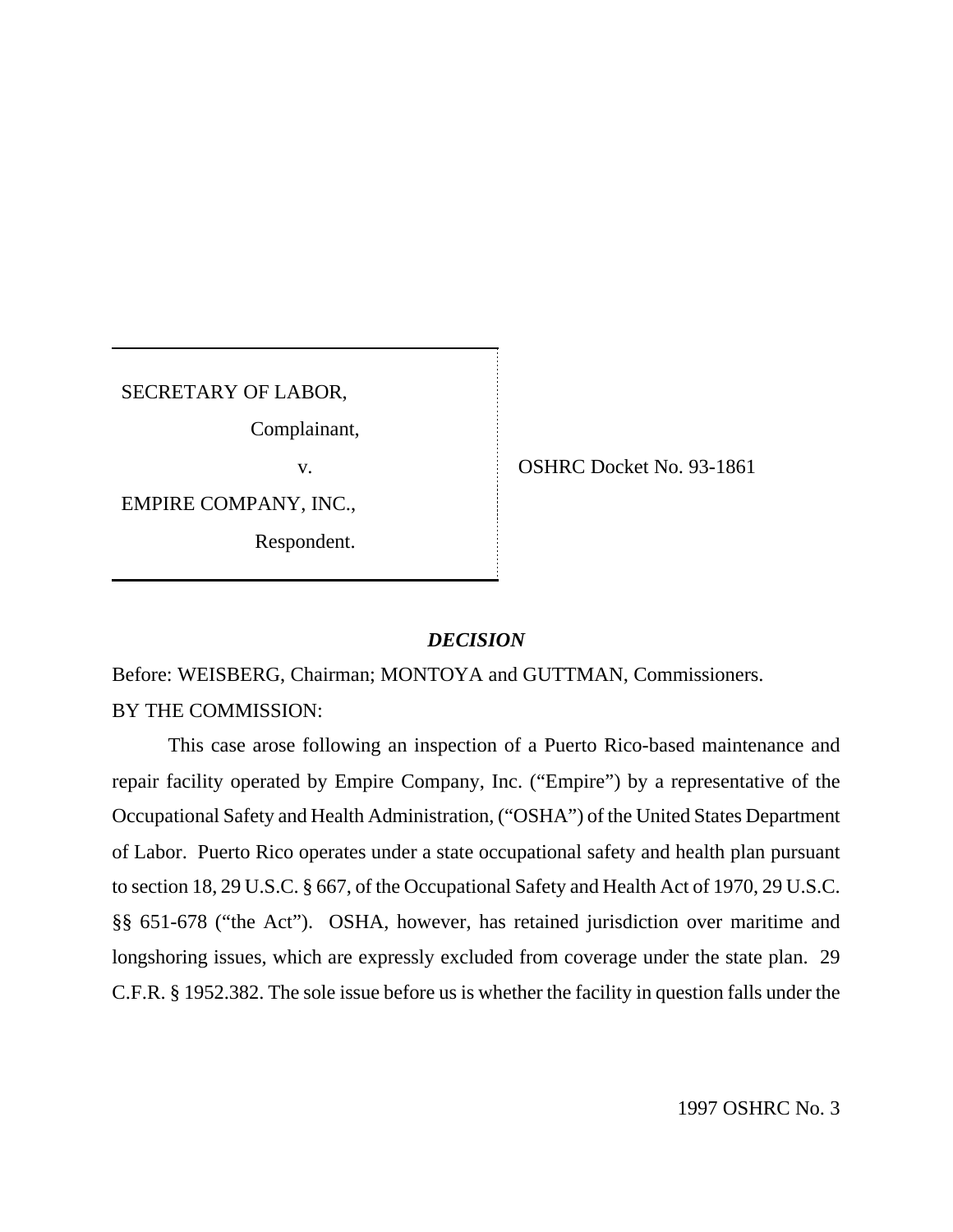SECRETARY OF LABOR,

Complainant,

EMPIRE COMPANY, INC.,

Respondent.

v. OSHRC Docket No. 93-1861

## *DECISION*

Before: WEISBERG, Chairman; MONTOYA and GUTTMAN, Commissioners. BY THE COMMISSION:

This case arose following an inspection of a Puerto Rico-based maintenance and repair facility operated by Empire Company, Inc. ("Empire") by a representative of the Occupational Safety and Health Administration, ("OSHA") of the United States Department of Labor. Puerto Rico operates under a state occupational safety and health plan pursuant to section 18, 29 U.S.C. § 667, of the Occupational Safety and Health Act of 1970, 29 U.S.C. §§ 651-678 ("the Act"). OSHA, however, has retained jurisdiction over maritime and longshoring issues, which are expressly excluded from coverage under the state plan. 29 C.F.R. § 1952.382. The sole issue before us is whether the facility in question falls under the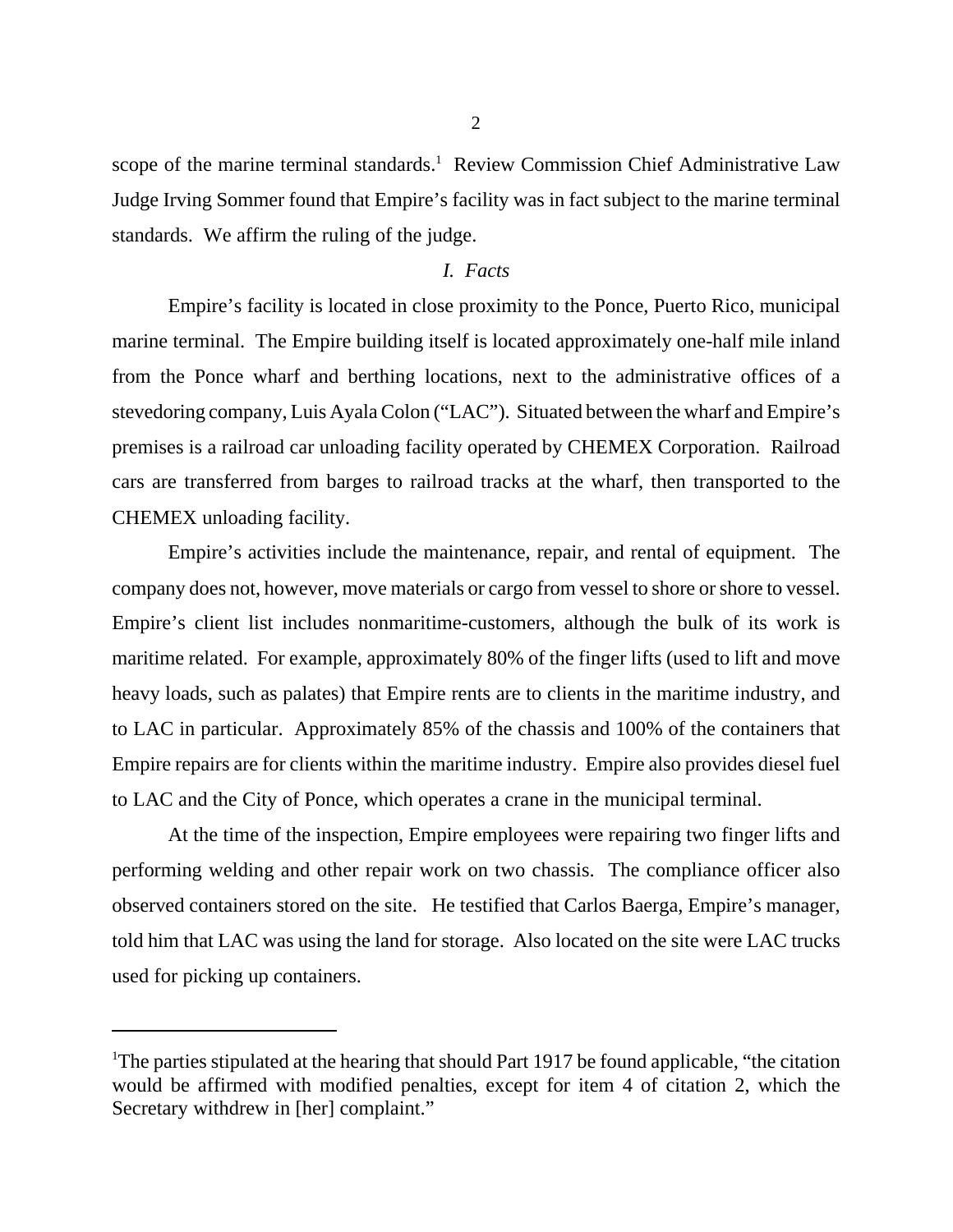scope of the marine terminal standards.<sup>1</sup> Review Commission Chief Administrative Law Judge Irving Sommer found that Empire's facility was in fact subject to the marine terminal standards. We affirm the ruling of the judge.

## *I. Facts*

Empire's facility is located in close proximity to the Ponce, Puerto Rico, municipal marine terminal. The Empire building itself is located approximately one-half mile inland from the Ponce wharf and berthing locations, next to the administrative offices of a stevedoring company, Luis Ayala Colon ("LAC"). Situated between the wharf and Empire's premises is a railroad car unloading facility operated by CHEMEX Corporation. Railroad cars are transferred from barges to railroad tracks at the wharf, then transported to the CHEMEX unloading facility.

Empire's activities include the maintenance, repair, and rental of equipment. The company does not, however, move materials or cargo from vessel to shore or shore to vessel. Empire's client list includes nonmaritime-customers, although the bulk of its work is maritime related. For example, approximately 80% of the finger lifts (used to lift and move heavy loads, such as palates) that Empire rents are to clients in the maritime industry, and to LAC in particular. Approximately 85% of the chassis and 100% of the containers that Empire repairs are for clients within the maritime industry. Empire also provides diesel fuel to LAC and the City of Ponce, which operates a crane in the municipal terminal.

At the time of the inspection, Empire employees were repairing two finger lifts and performing welding and other repair work on two chassis. The compliance officer also observed containers stored on the site. He testified that Carlos Baerga, Empire's manager, told him that LAC was using the land for storage. Also located on the site were LAC trucks used for picking up containers.

2

<sup>&</sup>lt;sup>1</sup>The parties stipulated at the hearing that should Part 1917 be found applicable, "the citation" would be affirmed with modified penalties, except for item 4 of citation 2, which the Secretary withdrew in [her] complaint."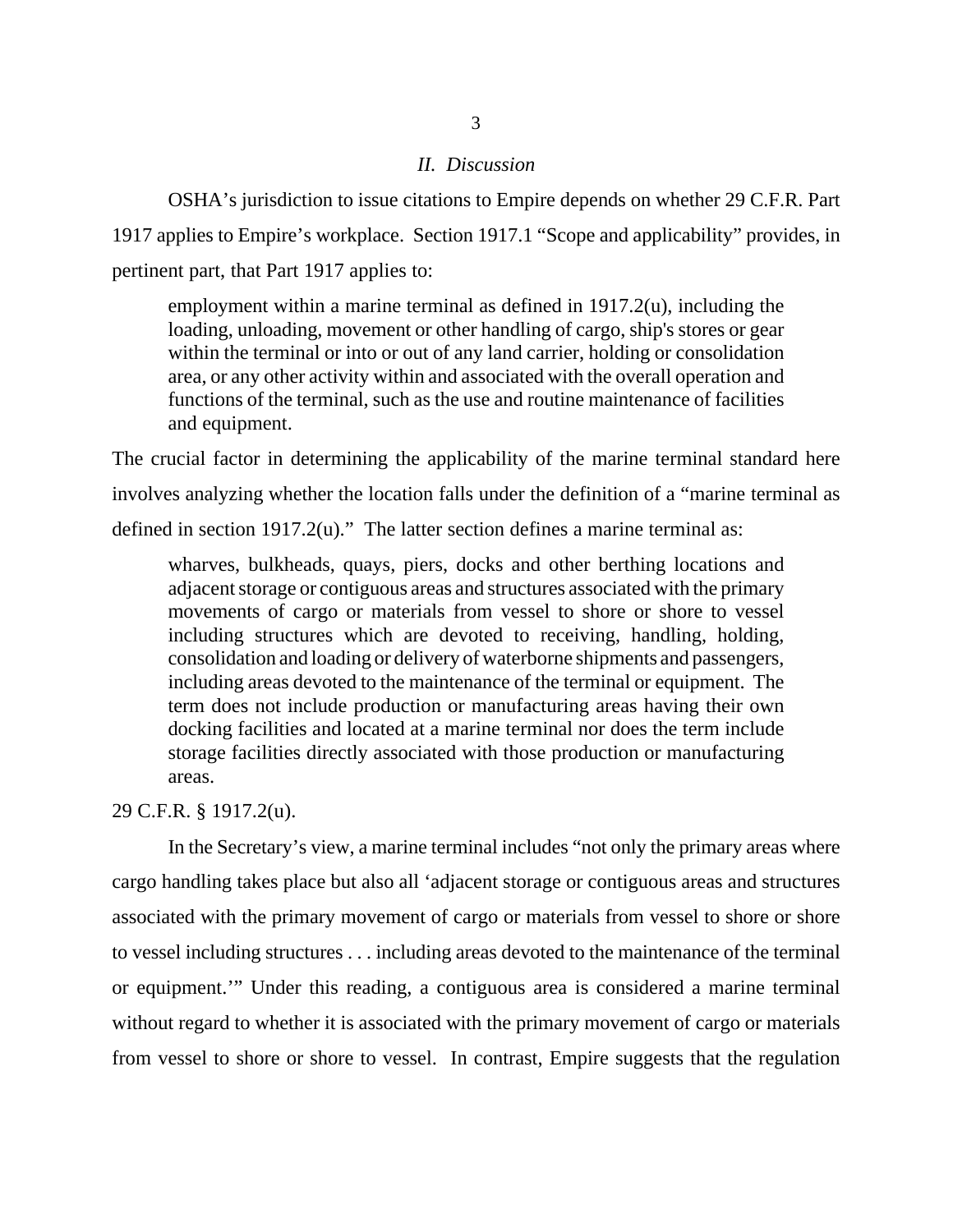### *II. Discussion*

OSHA's jurisdiction to issue citations to Empire depends on whether 29 C.F.R. Part 1917 applies to Empire's workplace. Section 1917.1 "Scope and applicability" provides, in pertinent part, that Part 1917 applies to:

employment within a marine terminal as defined in 1917.2(u), including the loading, unloading, movement or other handling of cargo, ship's stores or gear within the terminal or into or out of any land carrier, holding or consolidation area, or any other activity within and associated with the overall operation and functions of the terminal, such as the use and routine maintenance of facilities and equipment.

The crucial factor in determining the applicability of the marine terminal standard here involves analyzing whether the location falls under the definition of a "marine terminal as defined in section 1917.2(u)." The latter section defines a marine terminal as:

wharves, bulkheads, quays, piers, docks and other berthing locations and adjacent storage or contiguous areas and structures associated with the primary movements of cargo or materials from vessel to shore or shore to vessel including structures which are devoted to receiving, handling, holding, consolidation and loading or delivery of waterborne shipments and passengers, including areas devoted to the maintenance of the terminal or equipment. The term does not include production or manufacturing areas having their own docking facilities and located at a marine terminal nor does the term include storage facilities directly associated with those production or manufacturing areas.

29 C.F.R. § 1917.2(u).

In the Secretary's view, a marine terminal includes "not only the primary areas where cargo handling takes place but also all 'adjacent storage or contiguous areas and structures associated with the primary movement of cargo or materials from vessel to shore or shore to vessel including structures . . . including areas devoted to the maintenance of the terminal or equipment.'" Under this reading, a contiguous area is considered a marine terminal without regard to whether it is associated with the primary movement of cargo or materials from vessel to shore or shore to vessel. In contrast, Empire suggests that the regulation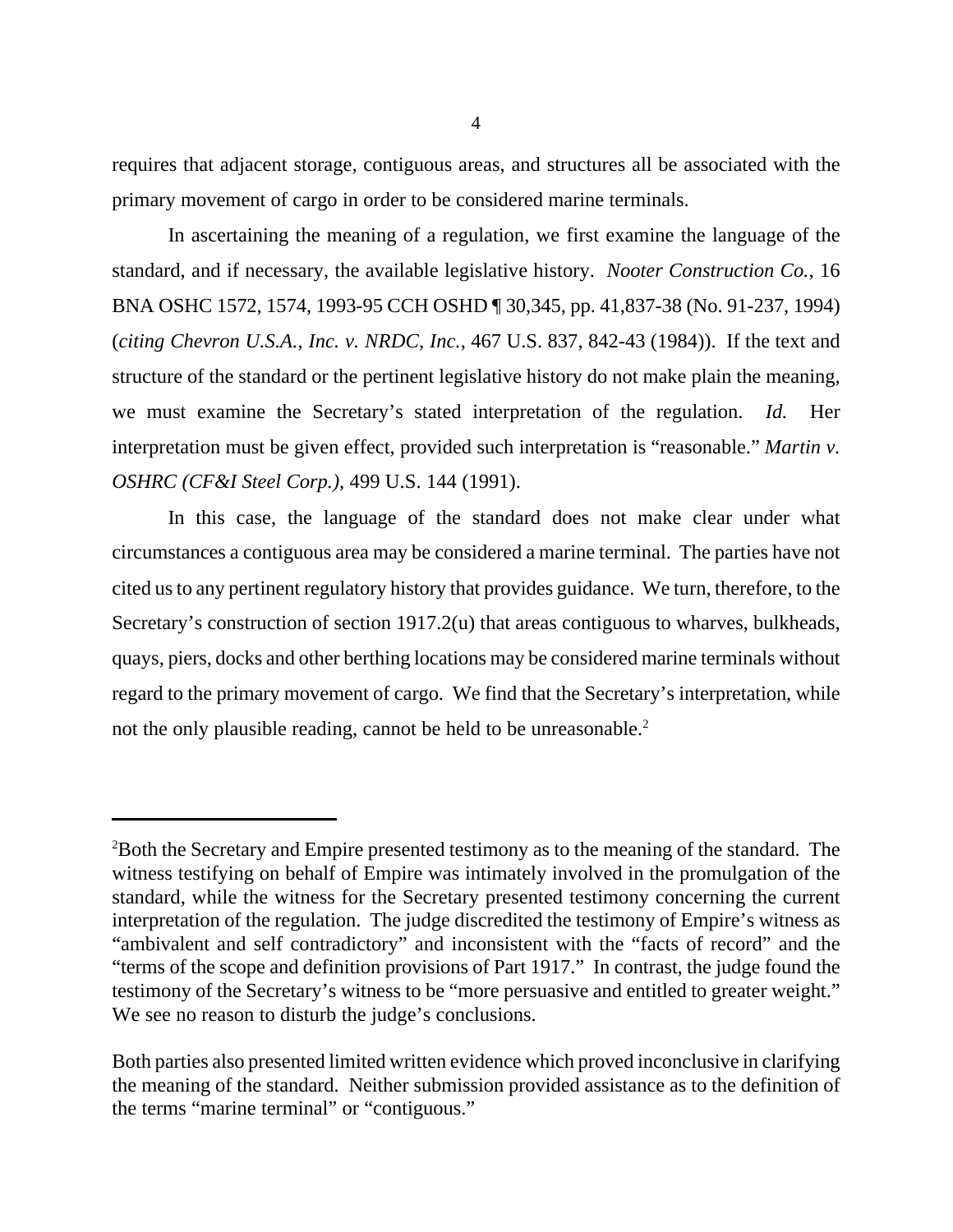requires that adjacent storage, contiguous areas, and structures all be associated with the primary movement of cargo in order to be considered marine terminals.

In ascertaining the meaning of a regulation, we first examine the language of the standard, and if necessary, the available legislative history. *Nooter Construction Co.*, 16 BNA OSHC 1572, 1574, 1993-95 CCH OSHD ¶ 30,345, pp. 41,837-38 (No. 91-237, 1994) (*citing Chevron U.S.A., Inc. v. NRDC, Inc.*, 467 U.S. 837, 842-43 (1984)). If the text and structure of the standard or the pertinent legislative history do not make plain the meaning, we must examine the Secretary's stated interpretation of the regulation. *Id.* Her interpretation must be given effect, provided such interpretation is "reasonable." *Martin v. OSHRC (CF&I Steel Corp.)*, 499 U.S. 144 (1991).

In this case, the language of the standard does not make clear under what circumstances a contiguous area may be considered a marine terminal. The parties have not cited us to any pertinent regulatory history that provides guidance. We turn, therefore, to the Secretary's construction of section 1917.2(u) that areas contiguous to wharves, bulkheads, quays, piers, docks and other berthing locations may be considered marine terminals without regard to the primary movement of cargo. We find that the Secretary's interpretation, while not the only plausible reading, cannot be held to be unreasonable.<sup>2</sup>

<sup>2</sup>Both the Secretary and Empire presented testimony as to the meaning of the standard. The witness testifying on behalf of Empire was intimately involved in the promulgation of the standard, while the witness for the Secretary presented testimony concerning the current interpretation of the regulation. The judge discredited the testimony of Empire's witness as "ambivalent and self contradictory" and inconsistent with the "facts of record" and the "terms of the scope and definition provisions of Part 1917." In contrast, the judge found the testimony of the Secretary's witness to be "more persuasive and entitled to greater weight." We see no reason to disturb the judge's conclusions.

Both parties also presented limited written evidence which proved inconclusive in clarifying the meaning of the standard. Neither submission provided assistance as to the definition of the terms "marine terminal" or "contiguous."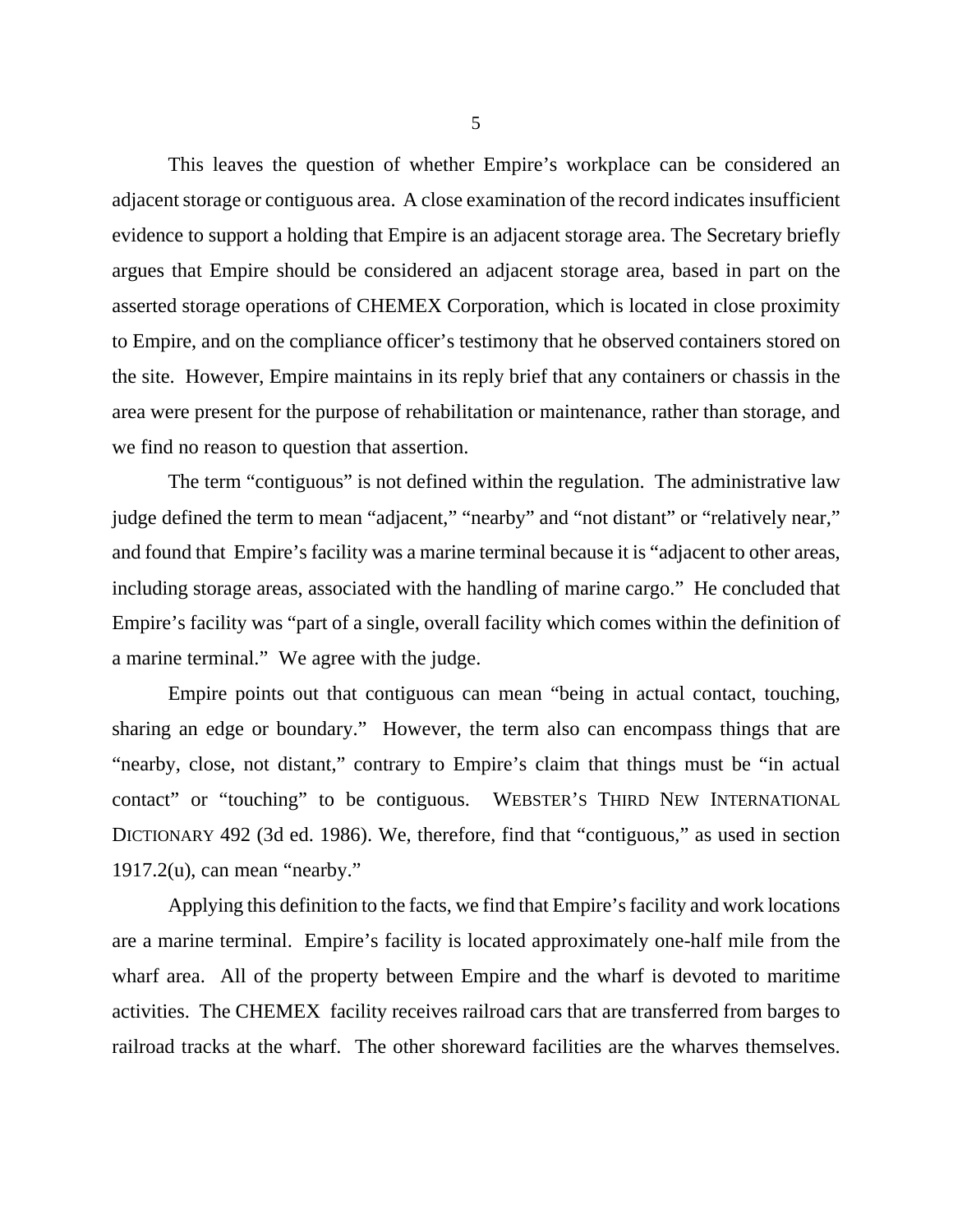This leaves the question of whether Empire's workplace can be considered an adjacent storage or contiguous area. A close examination of the record indicates insufficient evidence to support a holding that Empire is an adjacent storage area. The Secretary briefly argues that Empire should be considered an adjacent storage area, based in part on the asserted storage operations of CHEMEX Corporation, which is located in close proximity to Empire, and on the compliance officer's testimony that he observed containers stored on the site. However, Empire maintains in its reply brief that any containers or chassis in the area were present for the purpose of rehabilitation or maintenance, rather than storage, and we find no reason to question that assertion.

The term "contiguous" is not defined within the regulation. The administrative law judge defined the term to mean "adjacent," "nearby" and "not distant" or "relatively near," and found that Empire's facility was a marine terminal because it is "adjacent to other areas, including storage areas, associated with the handling of marine cargo." He concluded that Empire's facility was "part of a single, overall facility which comes within the definition of a marine terminal." We agree with the judge.

Empire points out that contiguous can mean "being in actual contact, touching, sharing an edge or boundary." However, the term also can encompass things that are "nearby, close, not distant," contrary to Empire's claim that things must be "in actual contact" or "touching" to be contiguous. WEBSTER'S THIRD NEW INTERNATIONAL DICTIONARY 492 (3d ed. 1986). We, therefore, find that "contiguous," as used in section  $1917.2(u)$ , can mean "nearby."

Applying this definition to the facts, we find that Empire's facility and work locations are a marine terminal. Empire's facility is located approximately one-half mile from the wharf area. All of the property between Empire and the wharf is devoted to maritime activities. The CHEMEX facility receives railroad cars that are transferred from barges to railroad tracks at the wharf. The other shoreward facilities are the wharves themselves.